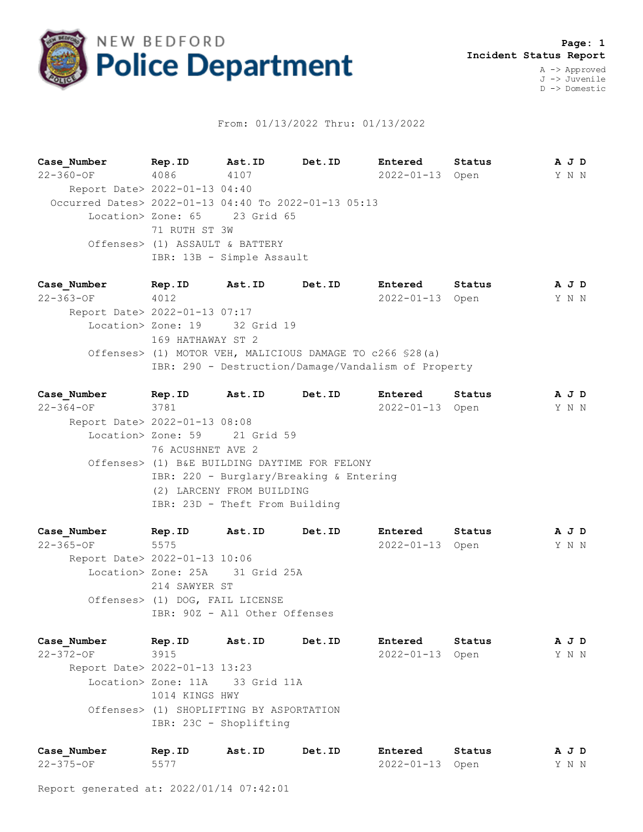

## From: 01/13/2022 Thru: 01/13/2022

**Case\_Number Rep.ID Ast.ID Det.ID Entered Status A J D** 22-360-OF 4086 4107 2022-01-13 Open Y N N Report Date> 2022-01-13 04:40 Occurred Dates> 2022-01-13 04:40 To 2022-01-13 05:13 Location> Zone: 65 23 Grid 65 71 RUTH ST 3W Offenses> (1) ASSAULT & BATTERY IBR: 13B - Simple Assault

**Case\_Number Rep.ID Ast.ID Det.ID Entered Status A J D** 22-363-OF 4012 2022-01-13 Open Y N N Report Date> 2022-01-13 07:17 Location> Zone: 19 32 Grid 19 169 HATHAWAY ST 2 Offenses> (1) MOTOR VEH, MALICIOUS DAMAGE TO c266 §28(a) IBR: 290 - Destruction/Damage/Vandalism of Property

**Case\_Number Rep.ID Ast.ID Det.ID Entered Status A J D** 22-364-OF 3781 2022-01-13 Open Y N N Report Date> 2022-01-13 08:08 Location> Zone: 59 21 Grid 59 76 ACUSHNET AVE 2 Offenses> (1) B&E BUILDING DAYTIME FOR FELONY IBR: 220 - Burglary/Breaking & Entering (2) LARCENY FROM BUILDING IBR: 23D - Theft From Building

**Case\_Number Rep.ID Ast.ID Det.ID Entered Status A J D** 22-365-OF 5575 2022-01-13 Open Y N N Report Date> 2022-01-13 10:06 Location> Zone: 25A 31 Grid 25A 214 SAWYER ST Offenses> (1) DOG, FAIL LICENSE IBR: 90Z - All Other Offenses

**Case\_Number Rep.ID Ast.ID Det.ID Entered Status A J D** 22-372-OF 3915 2022-01-13 Open Y N N Report Date> 2022-01-13 13:23 Location> Zone: 11A 33 Grid 11A 1014 KINGS HWY Offenses> (1) SHOPLIFTING BY ASPORTATION IBR: 23C - Shoplifting

| Case Number | Rep.ID | Ast.ID | Det.ID | Entered         | Status | AJD   |  |  |
|-------------|--------|--------|--------|-----------------|--------|-------|--|--|
| 22-375-OF   | 5577   |        |        | 2022-01-13 Open |        | Y N N |  |  |

Report generated at: 2022/01/14 07:42:01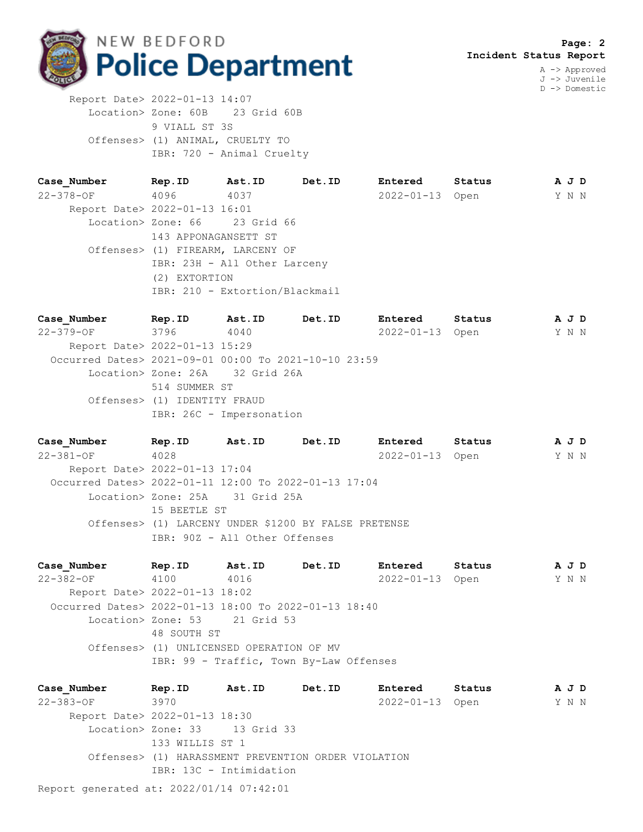

D -> Domestic

 Report Date> 2022-01-13 14:07 Location> Zone: 60B 23 Grid 60B 9 VIALL ST 3S Offenses> (1) ANIMAL, CRUELTY TO IBR: 720 - Animal Cruelty

**Case\_Number Rep.ID Ast.ID Det.ID Entered Status A J D** 22-378-OF 4096 4037 2022-01-13 Open Y N N Report Date> 2022-01-13 16:01 Location> Zone: 66 23 Grid 66 143 APPONAGANSETT ST Offenses> (1) FIREARM, LARCENY OF IBR: 23H - All Other Larceny (2) EXTORTION IBR: 210 - Extortion/Blackmail

**Case\_Number Rep.ID Ast.ID Det.ID Entered Status A J D** 22-379-OF 3796 4040 2022-01-13 Open Y N N Report Date> 2022-01-13 15:29 Occurred Dates> 2021-09-01 00:00 To 2021-10-10 23:59 Location> Zone: 26A 32 Grid 26A 514 SUMMER ST Offenses> (1) IDENTITY FRAUD IBR: 26C - Impersonation

**Case\_Number Rep.ID Ast.ID Det.ID Entered Status A J D** 22-381-OF 4028 2022-01-13 Open Y N N Report Date> 2022-01-13 17:04 Occurred Dates> 2022-01-11 12:00 To 2022-01-13 17:04 Location> Zone: 25A 31 Grid 25A 15 BEETLE ST Offenses> (1) LARCENY UNDER \$1200 BY FALSE PRETENSE IBR: 90Z - All Other Offenses

**Case\_Number Rep.ID Ast.ID Det.ID Entered Status A J D** 22-382-OF 4100 4016 2022-01-13 Open Y N N Report Date> 2022-01-13 18:02 Occurred Dates> 2022-01-13 18:00 To 2022-01-13 18:40 Location> Zone: 53 21 Grid 53 48 SOUTH ST Offenses> (1) UNLICENSED OPERATION OF MV IBR: 99 - Traffic, Town By-Law Offenses

**Case\_Number Rep.ID Ast.ID Det.ID Entered Status A J D** 22-383-OF 3970 2022-01-13 Open Y N N Report Date> 2022-01-13 18:30 Location> Zone: 33 13 Grid 33 133 WILLIS ST 1 Offenses> (1) HARASSMENT PREVENTION ORDER VIOLATION IBR: 13C - Intimidation